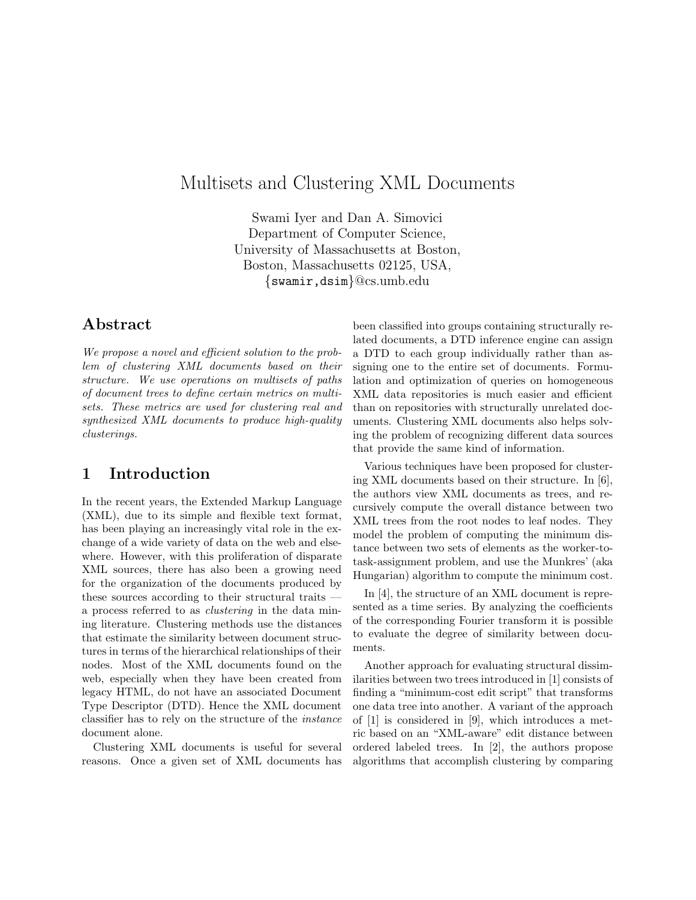# Multisets and Clustering XML Documents

Swami Iyer and Dan A. Simovici Department of Computer Science, University of Massachusetts at Boston, Boston, Massachusetts 02125, USA, {swamir,dsim}@cs.umb.edu

### Abstract

We propose a novel and efficient solution to the problem of clustering XML documents based on their structure. We use operations on multisets of paths of document trees to define certain metrics on multisets. These metrics are used for clustering real and synthesized XML documents to produce high-quality clusterings.

## 1 Introduction

In the recent years, the Extended Markup Language (XML), due to its simple and flexible text format, has been playing an increasingly vital role in the exchange of a wide variety of data on the web and elsewhere. However, with this proliferation of disparate XML sources, there has also been a growing need for the organization of the documents produced by these sources according to their structural traits a process referred to as clustering in the data mining literature. Clustering methods use the distances that estimate the similarity between document structures in terms of the hierarchical relationships of their nodes. Most of the XML documents found on the web, especially when they have been created from legacy HTML, do not have an associated Document Type Descriptor (DTD). Hence the XML document classifier has to rely on the structure of the instance document alone.

Clustering XML documents is useful for several reasons. Once a given set of XML documents has been classified into groups containing structurally related documents, a DTD inference engine can assign a DTD to each group individually rather than assigning one to the entire set of documents. Formulation and optimization of queries on homogeneous XML data repositories is much easier and efficient than on repositories with structurally unrelated documents. Clustering XML documents also helps solving the problem of recognizing different data sources that provide the same kind of information.

Various techniques have been proposed for clustering XML documents based on their structure. In [6], the authors view XML documents as trees, and recursively compute the overall distance between two XML trees from the root nodes to leaf nodes. They model the problem of computing the minimum distance between two sets of elements as the worker-totask-assignment problem, and use the Munkres' (aka Hungarian) algorithm to compute the minimum cost.

In [4], the structure of an XML document is represented as a time series. By analyzing the coefficients of the corresponding Fourier transform it is possible to evaluate the degree of similarity between documents.

Another approach for evaluating structural dissimilarities between two trees introduced in [1] consists of finding a "minimum-cost edit script" that transforms one data tree into another. A variant of the approach of [1] is considered in [9], which introduces a metric based on an "XML-aware" edit distance between ordered labeled trees. In [2], the authors propose algorithms that accomplish clustering by comparing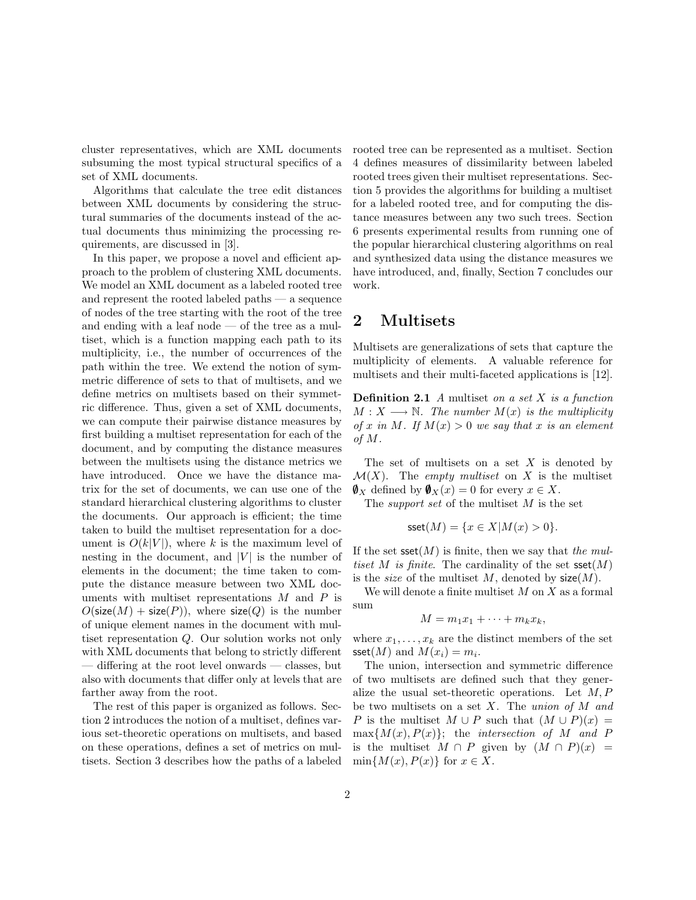cluster representatives, which are XML documents subsuming the most typical structural specifics of a set of XML documents.

Algorithms that calculate the tree edit distances between XML documents by considering the structural summaries of the documents instead of the actual documents thus minimizing the processing requirements, are discussed in [3].

In this paper, we propose a novel and efficient approach to the problem of clustering XML documents. We model an XML document as a labeled rooted tree and represent the rooted labeled paths — a sequence of nodes of the tree starting with the root of the tree and ending with a leaf node  $-$  of the tree as a multiset, which is a function mapping each path to its multiplicity, i.e., the number of occurrences of the path within the tree. We extend the notion of symmetric difference of sets to that of multisets, and we define metrics on multisets based on their symmetric difference. Thus, given a set of XML documents, we can compute their pairwise distance measures by first building a multiset representation for each of the document, and by computing the distance measures between the multisets using the distance metrics we have introduced. Once we have the distance matrix for the set of documents, we can use one of the standard hierarchical clustering algorithms to cluster the documents. Our approach is efficient; the time taken to build the multiset representation for a document is  $O(k|V|)$ , where k is the maximum level of nesting in the document, and  $|V|$  is the number of elements in the document; the time taken to compute the distance measure between two XML documents with multiset representations  $M$  and  $P$  is  $O(\textsf{size}(M) + \textsf{size}(P)),$  where  $\textsf{size}(Q)$  is the number of unique element names in the document with multiset representation Q. Our solution works not only with XML documents that belong to strictly different — differing at the root level onwards — classes, but also with documents that differ only at levels that are farther away from the root.

The rest of this paper is organized as follows. Section 2 introduces the notion of a multiset, defines various set-theoretic operations on multisets, and based on these operations, defines a set of metrics on multisets. Section 3 describes how the paths of a labeled rooted tree can be represented as a multiset. Section 4 defines measures of dissimilarity between labeled rooted trees given their multiset representations. Section 5 provides the algorithms for building a multiset for a labeled rooted tree, and for computing the distance measures between any two such trees. Section 6 presents experimental results from running one of the popular hierarchical clustering algorithms on real and synthesized data using the distance measures we have introduced, and, finally, Section 7 concludes our work.

### 2 Multisets

Multisets are generalizations of sets that capture the multiplicity of elements. A valuable reference for multisets and their multi-faceted applications is [12].

**Definition 2.1** A multiset on a set  $X$  is a function  $M: X \longrightarrow \mathbb{N}$ . The number  $M(x)$  is the multiplicity of x in M. If  $M(x) > 0$  we say that x is an element of M.

The set of multisets on a set  $X$  is denoted by  $\mathcal{M}(X)$ . The *empty multiset* on X is the multiset  $\mathbf{V}_X$  defined by  $\mathbf{V}_X(x) = 0$  for every  $x \in X$ .

The support set of the multiset M is the set

$$
sset(M) = \{x \in X | M(x) > 0\}.
$$

If the set  $\text{sech}(M)$  is finite, then we say that the multiset M is finite. The cardinality of the set  $\text{sset}(M)$ is the *size* of the multiset M, denoted by  $size(M)$ .

We will denote a finite multiset  $M$  on  $X$  as a formal sum

$$
M = m_1 x_1 + \cdots + m_k x_k,
$$

where  $x_1, \ldots, x_k$  are the distinct members of the set sset $(M)$  and  $M(x_i) = m_i$ .

The union, intersection and symmetric difference of two multisets are defined such that they generalize the usual set-theoretic operations. Let  $M, P$ be two multisets on a set  $X$ . The union of  $M$  and P is the multiset  $M \cup P$  such that  $(M \cup P)(x) =$  $\max\{M(x), P(x)\};$  the *intersection of* M and P is the multiset  $M \cap P$  given by  $(M \cap P)(x) =$  $\min\{M(x), P(x)\}\$ for  $x \in X$ .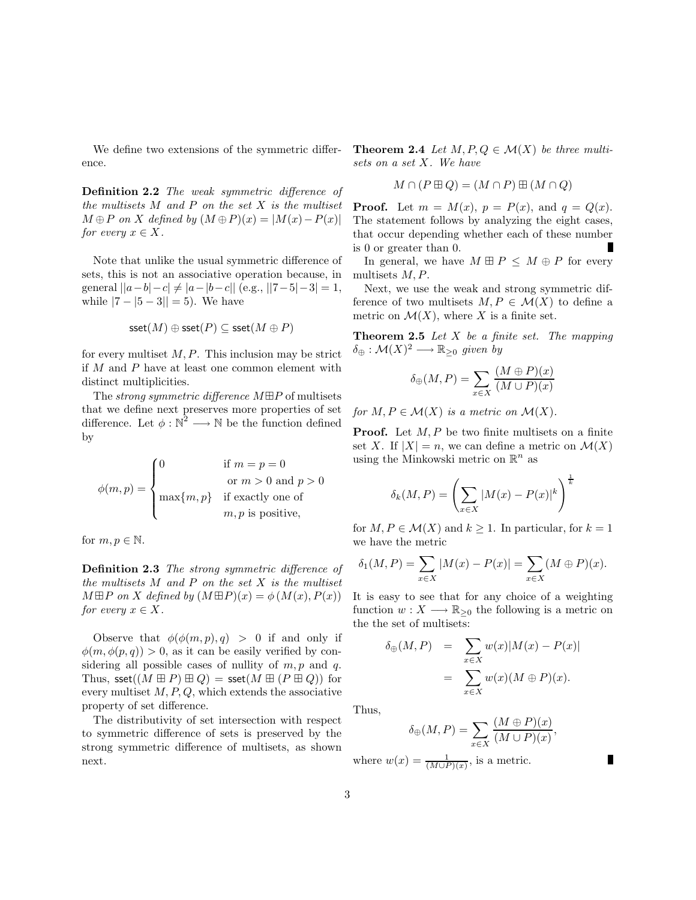We define two extensions of the symmetric difference.

Definition 2.2 The weak symmetric difference of the multisets  $M$  and  $P$  on the set  $X$  is the multiset  $M \oplus P$  on X defined by  $(M \oplus P)(x) = |M(x) - P(x)|$ for every  $x \in X$ .

Note that unlike the usual symmetric difference of sets, this is not an associative operation because, in general  $||a-b|-c| \neq |a-|b-c||$  (e.g.,  $||7-5|-3|=1$ , while  $|7 - 5 - 3| = 5$ ). We have

$$
\textsf{sset}(M) \oplus \textsf{sset}(P) \subseteq \textsf{sset}(M \oplus P)
$$

for every multiset  $M, P$ . This inclusion may be strict if M and P have at least one common element with distinct multiplicities.

The *strong symmetric difference*  $M \boxplus P$  of multisets that we define next preserves more properties of set difference. Let  $\phi : \mathbb{N}^2 \longrightarrow \mathbb{N}$  be the function defined by

$$
\phi(m, p) = \begin{cases}\n0 & \text{if } m = p = 0 \\
\text{or } m > 0 \text{ and } p > 0 \\
\max\{m, p\} & \text{if exactly one of} \\
m, p \text{ is positive,} \n\end{cases}
$$

for  $m, p \in \mathbb{N}$ .

Definition 2.3 The strong symmetric difference of the multisets  $M$  and  $P$  on the set  $X$  is the multiset  $M \boxplus P$  on X defined by  $(M \boxplus P)(x) = \phi(M(x), P(x))$ for every  $x \in X$ .

Observe that  $\phi(\phi(m, p), q) > 0$  if and only if  $\phi(m, \phi(p, q)) > 0$ , as it can be easily verified by considering all possible cases of nullity of  $m, p$  and  $q$ . Thus,  $\text{seet}((M \boxplus P) \boxplus Q) = \text{seet}(M \boxplus (P \boxplus Q))$  for every multiset  $M, P, Q$ , which extends the associative property of set difference.

The distributivity of set intersection with respect to symmetric difference of sets is preserved by the strong symmetric difference of multisets, as shown next.

**Theorem 2.4** Let  $M, P, Q \in \mathcal{M}(X)$  be three multisets on a set X. We have

$$
M \cap (P \boxplus Q) = (M \cap P) \boxplus (M \cap Q)
$$

**Proof.** Let  $m = M(x)$ ,  $p = P(x)$ , and  $q = Q(x)$ . The statement follows by analyzing the eight cases, that occur depending whether each of these number is 0 or greater than 0.

In general, we have  $M \boxplus P \leq M \oplus P$  for every multisets M, P.

Next, we use the weak and strong symmetric difference of two multisets  $M, P \in \mathcal{M}(X)$  to define a metric on  $\mathcal{M}(X)$ , where X is a finite set.

**Theorem 2.5** Let  $X$  be a finite set. The mapping  $\delta_{\oplus} : \mathcal{M}(X)^2 \longrightarrow \mathbb{R}_{\geq 0}$  given by

$$
\delta_{\oplus}(M, P) = \sum_{x \in X} \frac{(M \oplus P)(x)}{(M \cup P)(x)}
$$

for  $M, P \in \mathcal{M}(X)$  is a metric on  $\mathcal{M}(X)$ .

**Proof.** Let  $M, P$  be two finite multisets on a finite set X. If  $|X| = n$ , we can define a metric on  $\mathcal{M}(X)$ using the Minkowski metric on  $\mathbb{R}^n$  as

$$
\delta_k(M, P) = \left(\sum_{x \in X} |M(x) - P(x)|^k\right)^{\frac{1}{k}}
$$

for  $M, P \in \mathcal{M}(X)$  and  $k \geq 1$ . In particular, for  $k = 1$ we have the metric

$$
\delta_1(M, P) = \sum_{x \in X} |M(x) - P(x)| = \sum_{x \in X} (M \oplus P)(x).
$$

It is easy to see that for any choice of a weighting function  $w: X \longrightarrow \mathbb{R}_{\geq 0}$  the following is a metric on the the set of multisets:

$$
\delta_{\oplus}(M, P) = \sum_{x \in X} w(x)|M(x) - P(x)|
$$
  
= 
$$
\sum_{x \in X} w(x)(M \oplus P)(x).
$$

Thus,

$$
\delta_{\oplus}(M,P) = \sum_{x \in X} \frac{(M \oplus P)(x)}{(M \cup P)(x)},
$$

where  $w(x) = \frac{1}{(M \cup P)(x)}$ , is a metric.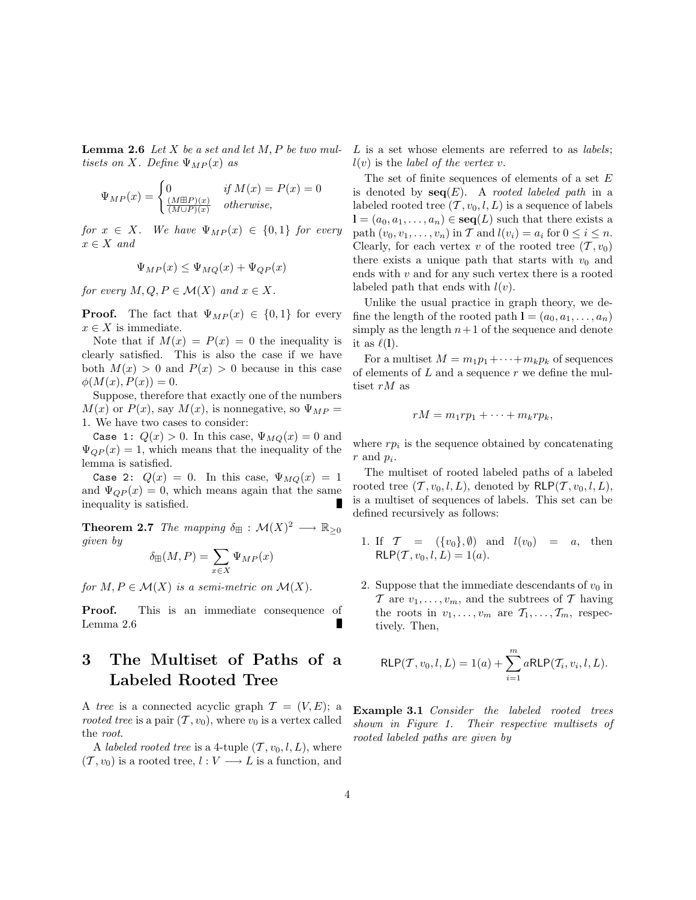**Lemma 2.6** Let  $X$  be a set and let  $M$ ,  $P$  be two multisets on X. Define  $\Psi_{MP}(x)$  as

$$
\Psi_{MP}(x) = \begin{cases}\n0 & \text{if } M(x) = P(x) = 0 \\
\frac{(M \boxplus P)(x)}{(M \cup P)(x)} & \text{otherwise,} \n\end{cases}
$$

for  $x \in X$ . We have  $\Psi_{MP}(x) \in \{0,1\}$  for every  $x \in X$  and

$$
\Psi_{MP}(x) \le \Psi_{MQ}(x) + \Psi_{QP}(x)
$$

for every  $M, Q, P \in \mathcal{M}(X)$  and  $x \in X$ .

**Proof.** The fact that  $\Psi_{MP}(x) \in \{0,1\}$  for every  $x \in X$  is immediate.

Note that if  $M(x) = P(x) = 0$  the inequality is clearly satisfied. This is also the case if we have both  $M(x) > 0$  and  $P(x) > 0$  because in this case  $\phi(M(x), P(x)) = 0.$ 

Suppose, therefore that exactly one of the numbers  $M(x)$  or  $P(x)$ , say  $M(x)$ , is nonnegative, so  $\Psi_{MP} =$ 1. We have two cases to consider:

Case 1:  $Q(x) > 0$ . In this case,  $\Psi_{MQ}(x) = 0$  and  $\Psi_{QP}(x) = 1$ , which means that the inequality of the lemma is satisfied.

Case 2:  $Q(x) = 0$ . In this case,  $\Psi_{MQ}(x) = 1$ and  $\Psi_{QP}(x) = 0$ , which means again that the same inequality is satisfied.

**Theorem 2.7** The mapping  $\delta_{\boxplus}$  :  $\mathcal{M}(X)^2 \longrightarrow \mathbb{R}_{\geq 0}$ given by

$$
\delta_{\boxplus}(M, P) = \sum_{x \in X} \Psi_{MP}(x)
$$

for  $M, P \in \mathcal{M}(X)$  is a semi-metric on  $\mathcal{M}(X)$ .

Proof. This is an immediate consequence of П Lemma 2.6

# 3 The Multiset of Paths of a Labeled Rooted Tree

A tree is a connected acyclic graph  $\mathcal{T} = (V, E)$ ; a rooted tree is a pair  $(\mathcal{T}, v_0)$ , where  $v_0$  is a vertex called the root.

A labeled rooted tree is a 4-tuple  $(\mathcal{T}, v_0, l, L)$ , where  $(T, v_0)$  is a rooted tree,  $l : V \longrightarrow L$  is a function, and

 $L$  is a set whose elements are referred to as *labels*;  $l(v)$  is the *label of the vertex v*.

The set of finite sequences of elements of a set  $E$ is denoted by  $seq(E)$ . A *rooted labeled path* in a labeled rooted tree  $(\mathcal{T}, v_0, l, L)$  is a sequence of labels  $\mathbf{l} = (a_0, a_1, \ldots, a_n) \in \mathbf{seq}(L)$  such that there exists a path  $(v_0, v_1, \ldots, v_n)$  in T and  $l(v_i) = a_i$  for  $0 \le i \le n$ . Clearly, for each vertex v of the rooted tree  $(\mathcal{T}, v_0)$ there exists a unique path that starts with  $v_0$  and ends with  $v$  and for any such vertex there is a rooted labeled path that ends with  $l(v)$ .

Unlike the usual practice in graph theory, we define the length of the rooted path  $\mathbf{l} = (a_0, a_1, \ldots, a_n)$ simply as the length  $n+1$  of the sequence and denote it as  $\ell(1)$ .

For a multiset  $M = m_1p_1 + \cdots + m_kp_k$  of sequences of elements of  $L$  and a sequence  $r$  we define the multiset rM as

$$
rM = m_1rp_1 + \cdots + m_krp_k,
$$

where  $rp_i$  is the sequence obtained by concatenating  $r$  and  $p_i$ .

The multiset of rooted labeled paths of a labeled rooted tree  $(\mathcal{T}, v_0, l, L)$ , denoted by  $\mathsf{RLP}(\mathcal{T}, v_0, l, L)$ , is a multiset of sequences of labels. This set can be defined recursively as follows:

- 1. If  $\mathcal{T} = (\{v_0\}, \emptyset)$  and  $l(v_0) = a$ , then  $RLP(\mathcal{T}, v_0, l, L) = 1(a).$
- 2. Suppose that the immediate descendants of  $v_0$  in  $\mathcal T$  are  $v_1, \ldots, v_m$ , and the subtrees of  $\mathcal T$  having the roots in  $v_1, \ldots, v_m$  are  $\mathcal{T}_1, \ldots, \mathcal{T}_m$ , respectively. Then,

$$
RLP(\mathcal{T}, v_0, l, L) = 1(a) + \sum_{i=1}^{m} aRLP(\mathcal{T}_i, v_i, l, L).
$$

Example 3.1 Consider the labeled rooted trees shown in Figure 1. Their respective multisets of rooted labeled paths are given by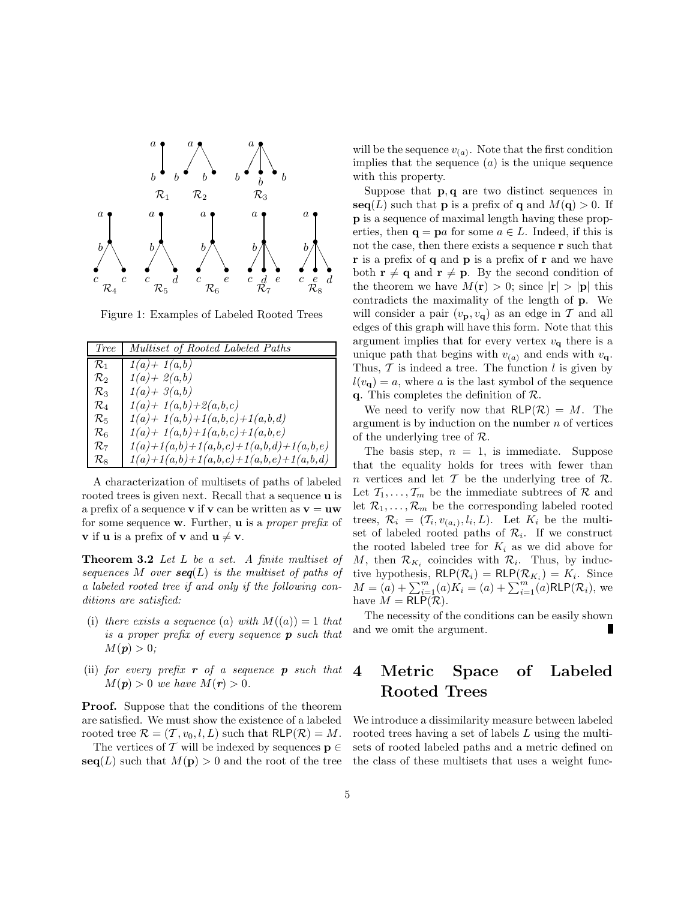

Figure 1: Examples of Labeled Rooted Trees

| <i>Tree</i>     | Multiset of Rooted Labeled Paths         |
|-----------------|------------------------------------------|
| $\mathcal{R}_1$ | $1(a) + 1(a,b)$                          |
| $\mathcal{R}_2$ | $1(a) + 2(a,b)$                          |
| $\mathcal{R}_3$ | $1(a) + 3(a,b)$                          |
| $\mathcal{R}_4$ | $1(a) + 1(a,b) + 2(a,b,c)$               |
| $\mathcal{R}_5$ | $1(a) + 1(a,b) + 1(a,b,c) + 1(a,b,d)$    |
| $\mathcal{R}_6$ | $1(a) + 1(a,b) + 1(a,b,c) + 1(a,b,e)$    |
| $\mathcal{R}_7$ | $1(a)+1(a,b)+1(a,b,c)+1(a,b,d)+1(a,b,e)$ |
| $\mathcal{R}_8$ | $1(a)+1(a,b)+1(a,b,c)+1(a,b,e)+1(a,b,d)$ |

A characterization of multisets of paths of labeled rooted trees is given next. Recall that a sequence  $\bf{u}$  is a prefix of a sequence **v** if **v** can be written as  $v = uw$ for some sequence w. Further, u is a proper prefix of **v** if **u** is a prefix of **v** and  $\mathbf{u} \neq \mathbf{v}$ .

Theorem 3.2 Let L be a set. A finite multiset of sequences M over  $seq(L)$  is the multiset of paths of a labeled rooted tree if and only if the following conditions are satisfied:

- (i) there exists a sequence (a) with  $M((a)) = 1$  that is a proper prefix of every sequence  $p$  such that  $M(\mathbf{p}) > 0;$
- (ii) for every prefix  $\mathbf r$  of a sequence  $\mathbf p$  such that  $M(\mathbf{p}) > 0$  we have  $M(\mathbf{r}) > 0$ .

Proof. Suppose that the conditions of the theorem are satisfied. We must show the existence of a labeled rooted tree  $\mathcal{R} = (\mathcal{T}, v_0, l, L)$  such that  $\mathsf{RLP}(\mathcal{R}) = M$ .

The vertices of T will be indexed by sequences  $\mathbf{p} \in \mathbb{R}$  $\textbf{seq}(L)$  such that  $M(\textbf{p}) > 0$  and the root of the tree

will be the sequence  $v_{(a)}$ . Note that the first condition implies that the sequence  $(a)$  is the unique sequence with this property.

Suppose that p, q are two distinct sequences in  $\textbf{seq}(L)$  such that **p** is a prefix of **q** and  $M(\textbf{q}) > 0$ . If p is a sequence of maximal length having these properties, then  $\mathbf{q} = \mathbf{p}a$  for some  $a \in L$ . Indeed, if this is not the case, then there exists a sequence r such that r is a prefix of q and p is a prefix of r and we have both  $\mathbf{r} \neq \mathbf{q}$  and  $\mathbf{r} \neq \mathbf{p}$ . By the second condition of the theorem we have  $M(\mathbf{r}) > 0$ ; since  $|\mathbf{r}| > |\mathbf{p}|$  this contradicts the maximality of the length of p. We will consider a pair  $(v_{\mathbf{p}}, v_{\mathbf{q}})$  as an edge in T and all edges of this graph will have this form. Note that this argument implies that for every vertex  $v_{q}$  there is a unique path that begins with  $v_{(a)}$  and ends with  $v_{\mathbf{q}}$ . Thus,  $\mathcal T$  is indeed a tree. The function l is given by  $l(v_{\bf q}) = a$ , where a is the last symbol of the sequence q. This completes the definition of  $\mathcal{R}$ .

We need to verify now that  $\mathsf{RLP}(\mathcal{R}) = M$ . The argument is by induction on the number  $n$  of vertices of the underlying tree of  $\mathcal{R}$ .

The basis step,  $n = 1$ , is immediate. Suppose that the equality holds for trees with fewer than n vertices and let  $\mathcal T$  be the underlying tree of  $\mathcal R$ . Let  $\mathcal{T}_1, \ldots, \mathcal{T}_m$  be the immediate subtrees of  $\mathcal{R}$  and let  $\mathcal{R}_1, \ldots, \mathcal{R}_m$  be the corresponding labeled rooted trees,  $\mathcal{R}_i = (\mathcal{T}_i, v_{(a_i)}, l_i, L)$ . Let  $K_i$  be the multiset of labeled rooted paths of  $\mathcal{R}_i$ . If we construct the rooted labeled tree for  $K_i$  as we did above for M, then  $\mathcal{R}_{K_i}$  coincides with  $\mathcal{R}_i$ . Thus, by inductive hypothesis,  $\mathsf{RLP}(\mathcal{R}_i) = \mathsf{RLP}(\mathcal{R}_{K_i}) = K_i$ . Since  $M = (a) + \sum_{i=1}^{m} (a) K_i = (a) + \sum_{i=1}^{m} (a) RLP(R_i)$ , we have  $M = RLP(\mathcal{R})$ .

The necessity of the conditions can be easily shown and we omit the argument.

## 4 Metric Space of Labeled Rooted Trees

We introduce a dissimilarity measure between labeled rooted trees having a set of labels L using the multisets of rooted labeled paths and a metric defined on the class of these multisets that uses a weight func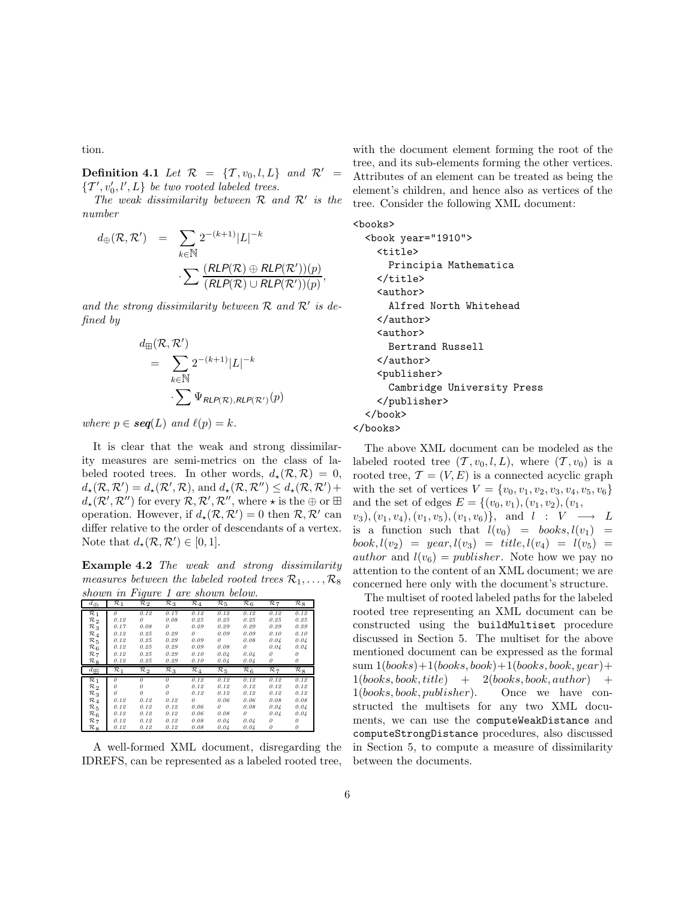tion.

**Definition 4.1** Let  $\mathcal{R} = \{T, v_0, l, L\}$  and  $\mathcal{R}' =$  $\{T', v'_0, l', L\}$  be two rooted labeled trees.

The weak dissimilarity between  $R$  and  $R'$  is the number

$$
d_{\oplus}(\mathcal{R}, \mathcal{R}') = \sum_{k \in \mathbb{N}} 2^{-(k+1)} |L|^{-k}
$$
  

$$
\sum \frac{(RLP(\mathcal{R}) \oplus RLP(\mathcal{R}'))(p)}{(RLP(\mathcal{R}) \cup RLP(\mathcal{R}'))(p)},
$$

and the strong dissimilarity between  $R$  and  $R'$  is defined by

$$
d_{\mathbb{H}}(\mathcal{R}, \mathcal{R}') = \sum_{k \in \mathbb{N}} 2^{-(k+1)} |L|^{-k}
$$

$$
\sum_{k \in \mathbb{N}} \Psi_{RLP(\mathcal{R}),RLP(\mathcal{R}')}(p)
$$

where  $p \in \text{seq}(L)$  and  $\ell(p) = k$ .

It is clear that the weak and strong dissimilarity measures are semi-metrics on the class of labeled rooted trees. In other words,  $d_{\star}(\mathcal{R}, \mathcal{R}) = 0$ ,  $d_{\star}(\mathcal{R}, \mathcal{R}') = d_{\star}(\mathcal{R}', \mathcal{R}),$  and  $d_{\star}(\mathcal{R}, \mathcal{R}'') \leq d_{\star}(\mathcal{R}, \mathcal{R}') +$  $d_\star(\mathcal{R}', \mathcal{R}'')$  for every  $\mathcal{R}, \mathcal{R}', \mathcal{R}''$ , where  $\star$  is the  $\oplus$  or  $\boxplus$ operation. However, if  $d_{\star}(\mathcal{R}, \mathcal{R}') = 0$  then  $\mathcal{R}, \mathcal{R}'$  can differ relative to the order of descendants of a vertex. Note that  $d_{\star}(\mathcal{R}, \mathcal{R}') \in [0, 1].$ 

Example 4.2 The weak and strong dissimilarity measures between the labeled rooted trees  $\mathcal{R}_1, \ldots, \mathcal{R}_8$ shown in Figure 1 are shown below.

| $\frac{1}{2}$<br>$d_{\bigoplus}$   | $\mathcal{R}_1$ | $\bar{\mathcal{R}}_2$ | $\mathcal{R}_3$ | $\mathcal{R}_4$ | $\mathcal{R}_5$ | $\mathcal{R}_6$ | $\overline{\mathcal{R}}$ 7 | $\mathcal{R}_8$       |
|------------------------------------|-----------------|-----------------------|-----------------|-----------------|-----------------|-----------------|----------------------------|-----------------------|
| $\mathcal{R}_1$                    | $\theta$        | 0.12                  | 0.17            | 0.12            | 0.12            | 0.12            | 0.12                       | 0.12                  |
| $\mathcal{R}_2$                    | 0.12            | $\theta$              | 0.08            | 0.25            | 0.25            | 0.25            | 0.25                       | 0.25                  |
| $\mathcal{R}_3$                    | 0.17            | 0.08                  | 0               | 0.29            | 0.29            | 0.29            | 0.29                       | 0.29                  |
| $\mathcal{R}_4$                    | 0.12            | 0.25                  | 0.29            | $\theta$        | 0.09            | 0.09            | 0.10                       | 0.10                  |
| $\mathcal{R}_{.5}$                 | 0.12            | 0.25                  | 0.29            | 0.09            | $\theta$        | 0.08            | 0.04                       | 0.04                  |
| $\mathcal{R}_6$                    | 0.12            | 0.25                  | 0.29            | 0.09            | 0.08            | $\theta$        | 0.04                       | 0.04                  |
| $\mathcal{R}_7$                    | 0.12            | 0.25                  | 0.29            | 0.10            | 0.04            | 0.04            | $\theta$                   | n                     |
| $\mathcal{R}_{8}$                  | 0.12            | 0.25                  | 0.29            | 0.10            | 0.04            | 0.04            | 0                          | 0                     |
|                                    |                 |                       |                 |                 |                 |                 |                            |                       |
| $d_{\rm H}$                        | $\mathcal{R}_1$ | $\mathcal{R}_2$       | $\mathcal{R}_3$ | $\mathcal{R}_4$ | $\mathcal{R}_5$ | $\mathcal{R}_6$ | $\mathcal{R}_7$            | $\bar{\mathcal{R}}_8$ |
|                                    | $\theta$        | $\theta$              | $\theta$        | 0.12            | 0.12            | 0.12            | 0.12                       | 0.12                  |
| $\mathcal{R}_1$                    | $\theta$        | $\theta$              | O               | 0.12            | 0.12            | 0.12            | 0.12                       | 0.12                  |
| $\mathcal{R}_2$                    | $\theta$        | 0                     | 0               | 0.12            | 0.12            | 0.12            | 0.12                       | 0.12                  |
| $R_3$                              | 0.12            | 0.12                  | 0.12            | $\theta$        | 0.06            | 0.06            | 0.08                       | 0.08                  |
| $\mathcal{R}_4$                    | 0.12            | 0.12                  | 0.12            | 0.06            | 0               | 0.08            | 0.04                       | 0.04                  |
| $\mathcal{R}_5$                    | 0.12            | 0.12                  | 0.12            | 0.06            | 0.08            | 0               | 0.04                       | 0.04                  |
| $\mathcal{R}_6$<br>$\mathcal{R}_7$ | 0.12            | 0.12                  | 0.12            | 0.08            | 0.04            | 0.04            | 0                          | 0                     |

A well-formed XML document, disregarding the IDREFS, can be represented as a labeled rooted tree,

with the document element forming the root of the tree, and its sub-elements forming the other vertices. Attributes of an element can be treated as being the element's children, and hence also as vertices of the tree. Consider the following XML document:

<books>

```
<book year="1910">
    <title>
      Principia Mathematica
    </title>
    <author>
      Alfred North Whitehead
    </author>
    <author>
      Bertrand Russell
    </author>
    <publisher>
      Cambridge University Press
    </publisher>
  </book>
</books>
```
The above XML document can be modeled as the labeled rooted tree  $(\mathcal{T}, v_0, l, L)$ , where  $(\mathcal{T}, v_0)$  is a rooted tree,  $\mathcal{T} = (V, E)$  is a connected acyclic graph with the set of vertices  $V = \{v_0, v_1, v_2, v_3, v_4, v_5, v_6\}$ and the set of edges  $E = \{(v_0, v_1), (v_1, v_2), (v_1,$  $(v_3), (v_1, v_4), (v_1, v_5), (v_1, v_6) \}, \text{ and } l : V \longrightarrow L$ is a function such that  $l(v_0) = \text{books}, l(v_1) =$  $book, l(v_2) = year, l(v_3) = title, l(v_4) = l(v_5) =$ *author* and  $l(v_6) = \text{public}$ . Note how we pay no attention to the content of an XML document; we are concerned here only with the document's structure.

The multiset of rooted labeled paths for the labeled rooted tree representing an XML document can be constructed using the buildMultiset procedure discussed in Section 5. The multiset for the above mentioned document can be expressed as the formal  $sum 1(books)+1(books, book)+1(books, book, year)+$  $1(books, book, title) + 2(books, book, author) +$ 1(books, book, publisher). Once we have constructed the multisets for any two XML documents, we can use the computeWeakDistance and computeStrongDistance procedures, also discussed in Section 5, to compute a measure of dissimilarity between the documents.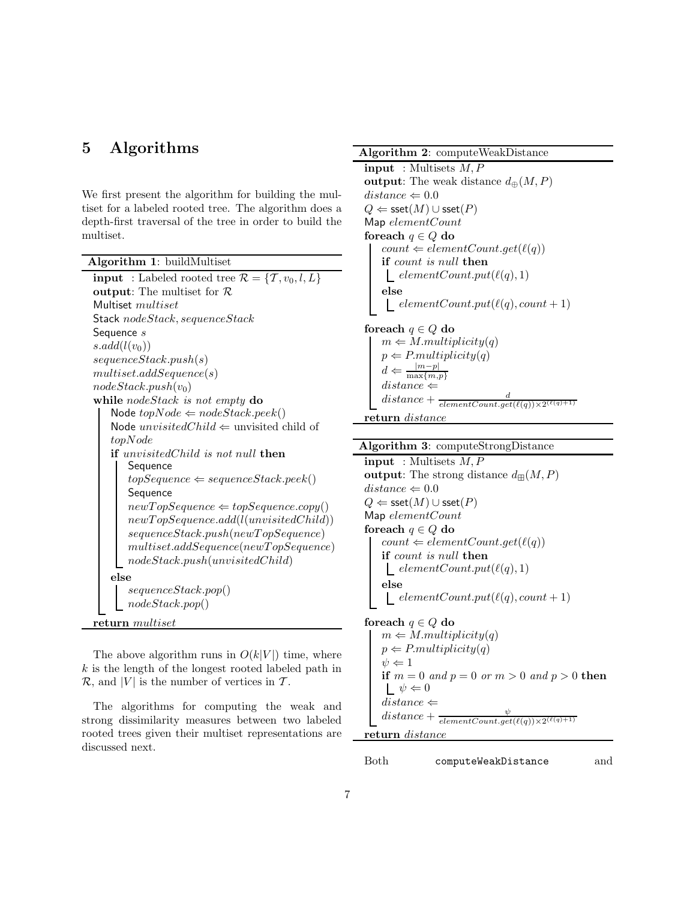### 5 Algorithms

We first present the algorithm for building the multiset for a labeled rooted tree. The algorithm does a depth-first traversal of the tree in order to build the multiset.

| Algorithm 1: buildMultiset                                          |
|---------------------------------------------------------------------|
| <b>input</b> : Labeled rooted tree $\mathcal{R} = \{T, v_0, l, L\}$ |
| output: The multiset for $R$                                        |
| Multiset <i>multiset</i>                                            |
| Stack nodeStack, sequenceStack                                      |
| Sequence s                                                          |
| $s.add(l(v_0))$                                                     |
| sequenceStack.push(s)                                               |
| multiset.addSequence(s)                                             |
| $nodeStack.push(v_0)$                                               |
| while nodeStack is not empty $\bf{do}$                              |
| Node $topNode \Leftarrow nodeStack, peek()$                         |
| Node $unvisitedChild \Leftarrow$ unvisited child of                 |
| topNode                                                             |
| <b>if</b> unvisited Child is not null <b>then</b>                   |
| Sequence                                                            |
| $topSequence \Leftarrow sequenceStack, peek()$                      |
| Sequence                                                            |
| $newTopSequence \Leftarrow topSequence.copy()$                      |
| newTopSequence.add(l(unvisitedChild))                               |
| sequenceStack.push(newTopSequence)                                  |
| multiset.addSequence(newTopSequence)                                |
| nodeStack.push(unvisitedChild)                                      |
| else                                                                |
| sequenceStack.pop()                                                 |
| nodeStack.pop()                                                     |
| return <i>multiset</i>                                              |

The above algorithm runs in  $O(k|V|)$  time, where  $k$  is the length of the longest rooted labeled path in  $\mathcal{R}$ , and |V| is the number of vertices in  $\mathcal{T}$ .

The algorithms for computing the weak and strong dissimilarity measures between two labeled rooted trees given their multiset representations are discussed next.

#### Algorithm 2: computeWeakDistance

 $\text{input}$ : Multisets  $M, P$ output: The weak distance  $d_{\oplus}(M, P)$  $distance \Leftarrow 0.0$  $Q \Leftarrow \mathsf{sset}(M) \cup \mathsf{sset}(P)$ Map elementCount foreach  $q \in Q$  do  $count \Leftarrow elementCount.get(\ell(q))$ if count is null then  $\textcolor{red}{\downarrow} elementCount.put(\ell(q), 1)$ else  $\text{\_} elementCount.put(\ell(q), count + 1)$ foreach  $q \in Q$  do  $m \leftarrow M.multiplicity(q)$  $p \leftarrow P.multiplicity(q)$  $d \Leftarrow \frac{|m-p|}{\max\{m,p\}}$ 

 $distance \Leftarrow$  $distance + \frac{d}{elementCount.get(\ell(q)) \times 2^{(\ell(q)+1)}}$ 

return distance

#### Algorithm 3: computeStrongDistance

 $input$ : Multisets  $M, P$ output: The strong distance  $d_{\mathbb{H}}(M, P)$  $distance \Leftarrow 0.0$  $Q \Leftarrow$  sset $(M) \cup$  sset $(P)$ Map elementCount for<br>each  $q \in Q$  do  $count \Leftarrow elementCount.get(\ell(q))$ if count is null then  $elementCount.put(\ell(q), 1)$ else  $\text{\_} elementCount.put(\ell(q), count + 1)$ 

foreach  $q \in Q$  do  $m \leftarrow M.multiplicity(q)$  $p \leftarrow P.multiplicity(q)$  $\psi \Leftarrow 1$ if  $m = 0$  and  $p = 0$  or  $m > 0$  and  $p > 0$  then  $\mathsf{L} \psi \Leftarrow 0$  $distance \Leftarrow$ distance +  $\psi \over \ell$ elementCount.get( $\ell(q)$ )×2 $^{(\ell(q)+1)}$ return distance

Both computeWeakDistance and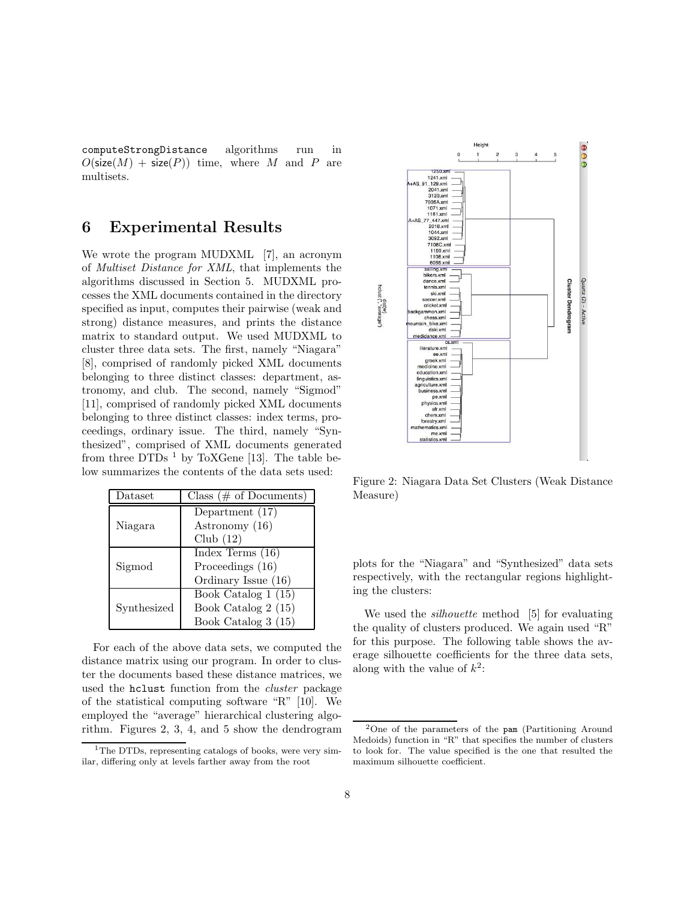computeStrongDistance algorithms run in  $O(\textsf{size}(M) + \textsf{size}(P))$  time, where M and P are multisets.

### 6 Experimental Results

We wrote the program MUDXML [7], an acronym of Multiset Distance for XML, that implements the algorithms discussed in Section 5. MUDXML processes the XML documents contained in the directory specified as input, computes their pairwise (weak and strong) distance measures, and prints the distance matrix to standard output. We used MUDXML to cluster three data sets. The first, namely "Niagara" [8], comprised of randomly picked XML documents belonging to three distinct classes: department, astronomy, and club. The second, namely "Sigmod" [11], comprised of randomly picked XML documents belonging to three distinct classes: index terms, proceedings, ordinary issue. The third, namely "Synthesized", comprised of XML documents generated from three DTDs  $^1$  by ToXGene [13]. The table below summarizes the contents of the data sets used:

| Dataset     | Class ( $#$ of Documents) |
|-------------|---------------------------|
|             | Department $(17)$         |
| Niagara     | Astronomy (16)            |
|             | Club $(12)$               |
|             | Index Terms $(16)$        |
| Sigmod      | Proceedings (16)          |
|             | Ordinary Issue (16)       |
|             | Book Catalog $1(15)$      |
| Synthesized | Book Catalog 2 (15)       |
|             | Book Catalog 3 (15)       |

For each of the above data sets, we computed the distance matrix using our program. In order to cluster the documents based these distance matrices, we used the hclust function from the cluster package of the statistical computing software "R" [10]. We employed the "average" hierarchical clustering algorithm. Figures 2, 3, 4, and 5 show the dendrogram



Figure 2: Niagara Data Set Clusters (Weak Distance Measure)

plots for the "Niagara" and "Synthesized" data sets respectively, with the rectangular regions highlighting the clusters:

We used the *silhouette* method [5] for evaluating the quality of clusters produced. We again used "R" for this purpose. The following table shows the average silhouette coefficients for the three data sets, along with the value of  $k^2$ :

<sup>&</sup>lt;sup>1</sup>The DTDs, representing catalogs of books, were very similar, differing only at levels farther away from the root

<sup>2</sup>One of the parameters of the pam (Partitioning Around Medoids) function in "R" that specifies the number of clusters to look for. The value specified is the one that resulted the maximum silhouette coefficient.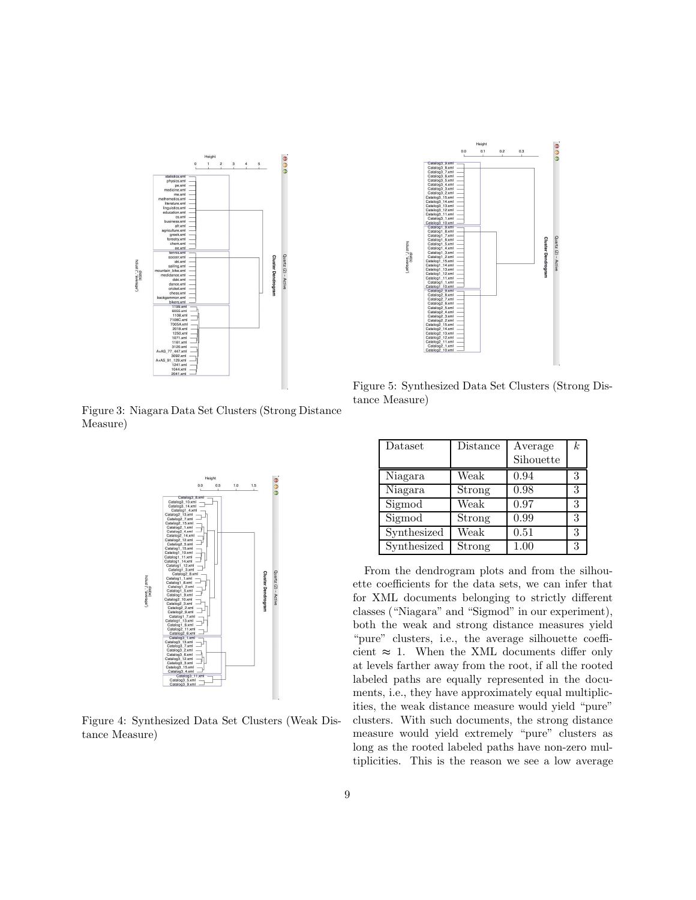

Figure 3: Niagara Data Set Clusters (Strong Distance Measure)



Figure 4: Synthesized Data Set Clusters (Weak Distance Measure)



Figure 5: Synthesized Data Set Clusters (Strong Distance Measure)

| Dataset     | Distance | Average<br>Sihouette | $\boldsymbol{k}$ |
|-------------|----------|----------------------|------------------|
| Niagara     | Weak     | 0.94                 | 3                |
| Niagara     | Strong   | 0.98                 | 3                |
| Sigmod      | Weak     | 0.97                 | 3                |
| Sigmod      | Strong   | 0.99                 | 3                |
| Synthesized | Weak     | 0.51                 | 3                |
| Synthesized | Strong   | 1.00                 | 3                |

From the dendrogram plots and from the silhouette coefficients for the data sets, we can infer that for XML documents belonging to strictly different classes ("Niagara" and "Sigmod" in our experiment), both the weak and strong distance measures yield "pure" clusters, i.e., the average silhouette coefficient  $\approx$  1. When the XML documents differ only at levels farther away from the root, if all the rooted labeled paths are equally represented in the documents, i.e., they have approximately equal multiplicities, the weak distance measure would yield "pure" clusters. With such documents, the strong distance measure would yield extremely "pure" clusters as long as the rooted labeled paths have non-zero multiplicities. This is the reason we see a low average